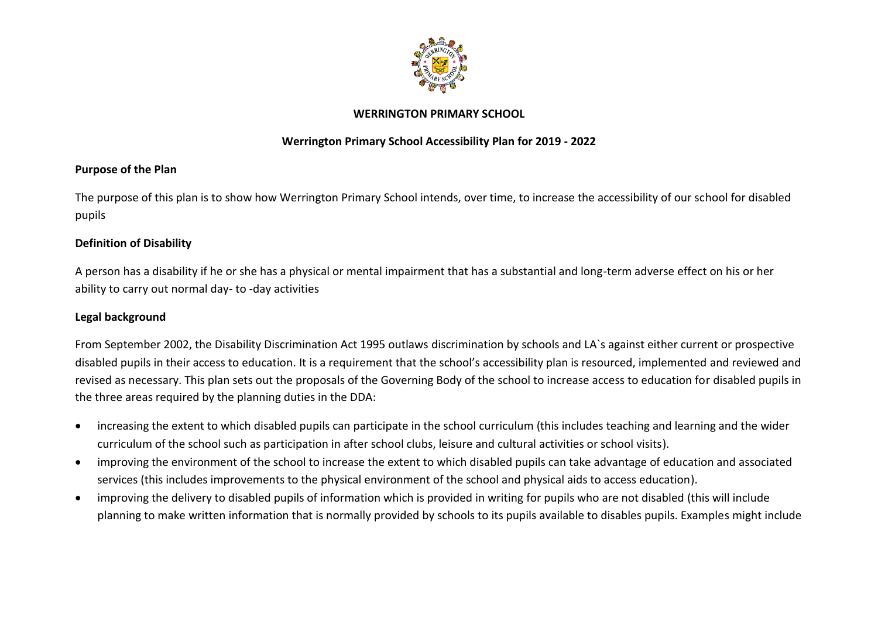

#### **WERRINGTON PRIMARY SCHOOL**

### **Werrington Primary School Accessibility Plan for 2019 - 2022**

#### **Purpose of the Plan**

The purpose of this plan is to show how Werrington Primary School intends, over time, to increase the accessibility of our school for disabled pupils

#### **Definition of Disability**

A person has a disability if he or she has a physical or mental impairment that has a substantial and long-term adverse effect on his or her ability to carry out normal day- to -day activities

### **Legal background**

From September 2002, the Disability Discrimination Act 1995 outlaws discrimination by schools and LA`s against either current or prospective disabled pupils in their access to education. It is a requirement that the school's accessibility plan is resourced, implemented and reviewed and revised as necessary. This plan sets out the proposals of the Governing Body of the school to increase access to education for disabled pupils in the three areas required by the planning duties in the DDA:

- increasing the extent to which disabled pupils can participate in the school curriculum (this includes teaching and learning and the wider curriculum of the school such as participation in after school clubs, leisure and cultural activities or school visits).
- improving the environment of the school to increase the extent to which disabled pupils can take advantage of education and associated services (this includes improvements to the physical environment of the school and physical aids to access education).
- improving the delivery to disabled pupils of information which is provided in writing for pupils who are not disabled (this will include planning to make written information that is normally provided by schools to its pupils available to disables pupils. Examples might include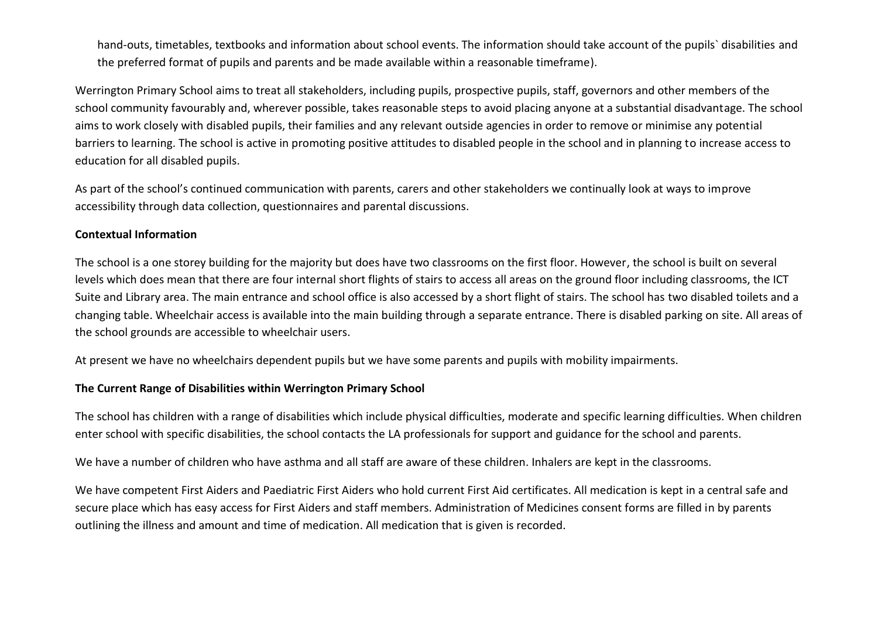hand-outs, timetables, textbooks and information about school events. The information should take account of the pupils` disabilities and the preferred format of pupils and parents and be made available within a reasonable timeframe).

Werrington Primary School aims to treat all stakeholders, including pupils, prospective pupils, staff, governors and other members of the school community favourably and, wherever possible, takes reasonable steps to avoid placing anyone at a substantial disadvantage. The school aims to work closely with disabled pupils, their families and any relevant outside agencies in order to remove or minimise any potential barriers to learning. The school is active in promoting positive attitudes to disabled people in the school and in planning to increase access to education for all disabled pupils.

As part of the school's continued communication with parents, carers and other stakeholders we continually look at ways to improve accessibility through data collection, questionnaires and parental discussions.

#### **Contextual Information**

The school is a one storey building for the majority but does have two classrooms on the first floor. However, the school is built on several levels which does mean that there are four internal short flights of stairs to access all areas on the ground floor including classrooms, the ICT Suite and Library area. The main entrance and school office is also accessed by a short flight of stairs. The school has two disabled toilets and a changing table. Wheelchair access is available into the main building through a separate entrance. There is disabled parking on site. All areas of the school grounds are accessible to wheelchair users.

At present we have no wheelchairs dependent pupils but we have some parents and pupils with mobility impairments.

#### **The Current Range of Disabilities within Werrington Primary School**

The school has children with a range of disabilities which include physical difficulties, moderate and specific learning difficulties. When children enter school with specific disabilities, the school contacts the LA professionals for support and guidance for the school and parents.

We have a number of children who have asthma and all staff are aware of these children. Inhalers are kept in the classrooms.

We have competent First Aiders and Paediatric First Aiders who hold current First Aid certificates. All medication is kept in a central safe and secure place which has easy access for First Aiders and staff members. Administration of Medicines consent forms are filled in by parents outlining the illness and amount and time of medication. All medication that is given is recorded.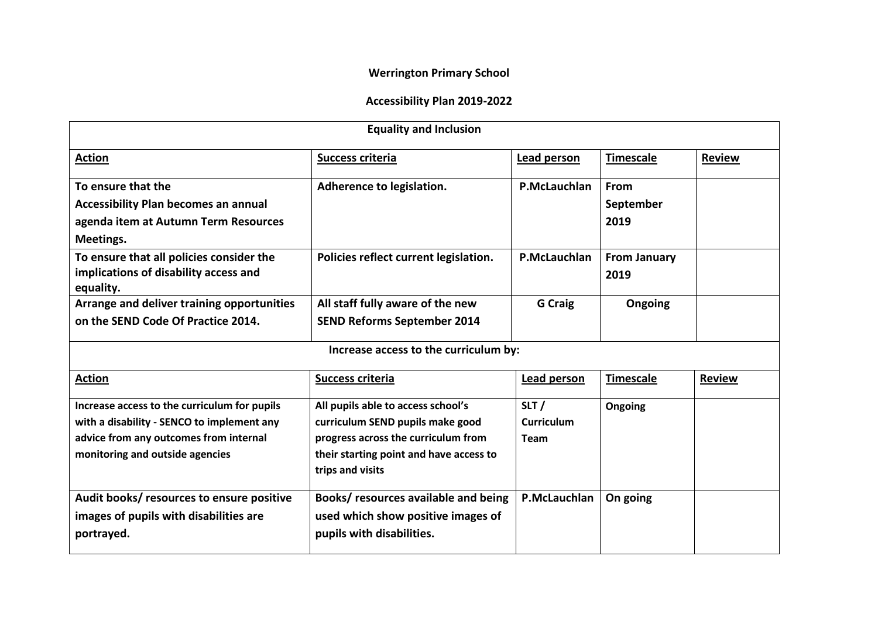# **Werrington Primary School**

# **Accessibility Plan 2019-2022**

| <b>Equality and Inclusion</b>                      |                                         |                   |                     |               |  |  |  |
|----------------------------------------------------|-----------------------------------------|-------------------|---------------------|---------------|--|--|--|
| <b>Action</b>                                      | <b>Success criteria</b>                 | Lead person       | <b>Timescale</b>    | <b>Review</b> |  |  |  |
| To ensure that the                                 | Adherence to legislation.               | P.McLauchlan      | From                |               |  |  |  |
| <b>Accessibility Plan becomes an annual</b>        |                                         |                   | September           |               |  |  |  |
| agenda item at Autumn Term Resources               |                                         |                   | 2019                |               |  |  |  |
| Meetings.                                          |                                         |                   |                     |               |  |  |  |
| To ensure that all policies consider the           | Policies reflect current legislation.   | P.McLauchlan      | <b>From January</b> |               |  |  |  |
| implications of disability access and<br>equality. |                                         |                   | 2019                |               |  |  |  |
| Arrange and deliver training opportunities         | All staff fully aware of the new        | <b>G</b> Craig    | Ongoing             |               |  |  |  |
| on the SEND Code Of Practice 2014.                 | <b>SEND Reforms September 2014</b>      |                   |                     |               |  |  |  |
| Increase access to the curriculum by:              |                                         |                   |                     |               |  |  |  |
| <b>Action</b>                                      | <b>Success criteria</b>                 | Lead person       | <b>Timescale</b>    | <b>Review</b> |  |  |  |
| Increase access to the curriculum for pupils       | All pupils able to access school's      | SLT/              | Ongoing             |               |  |  |  |
| with a disability - SENCO to implement any         | curriculum SEND pupils make good        | <b>Curriculum</b> |                     |               |  |  |  |
| advice from any outcomes from internal             | progress across the curriculum from     | <b>Team</b>       |                     |               |  |  |  |
| monitoring and outside agencies                    | their starting point and have access to |                   |                     |               |  |  |  |
|                                                    | trips and visits                        |                   |                     |               |  |  |  |
| Audit books/ resources to ensure positive          | Books/ resources available and being    | P.McLauchlan      | On going            |               |  |  |  |
| images of pupils with disabilities are             | used which show positive images of      |                   |                     |               |  |  |  |
| portrayed.                                         | pupils with disabilities.               |                   |                     |               |  |  |  |
|                                                    |                                         |                   |                     |               |  |  |  |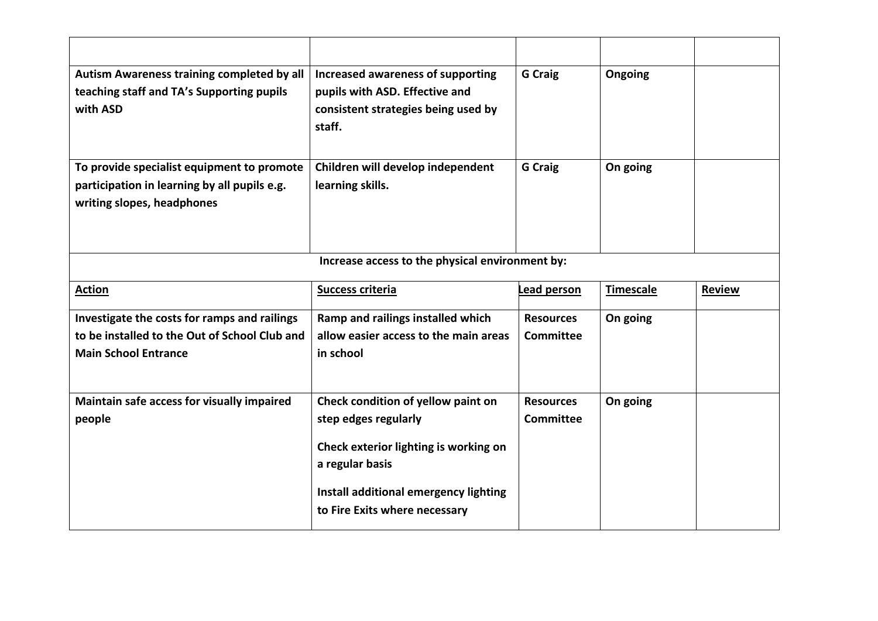| Autism Awareness training completed by all<br>teaching staff and TA's Supporting pupils<br>with ASD                          | Increased awareness of supporting<br>pupils with ASD. Effective and<br>consistent strategies being used by<br>staff.                                            | <b>G</b> Craig                       | Ongoing          |               |  |  |  |
|------------------------------------------------------------------------------------------------------------------------------|-----------------------------------------------------------------------------------------------------------------------------------------------------------------|--------------------------------------|------------------|---------------|--|--|--|
| To provide specialist equipment to promote<br>participation in learning by all pupils e.g.<br>writing slopes, headphones     | Children will develop independent<br>learning skills.                                                                                                           | <b>G</b> Craig                       | On going         |               |  |  |  |
| Increase access to the physical environment by:                                                                              |                                                                                                                                                                 |                                      |                  |               |  |  |  |
| <b>Action</b>                                                                                                                | <b>Success criteria</b>                                                                                                                                         | Lead person                          | <b>Timescale</b> | <b>Review</b> |  |  |  |
| Investigate the costs for ramps and railings<br>to be installed to the Out of School Club and<br><b>Main School Entrance</b> | Ramp and railings installed which<br>allow easier access to the main areas<br>in school                                                                         | <b>Resources</b><br><b>Committee</b> | On going         |               |  |  |  |
| Maintain safe access for visually impaired<br>people                                                                         | Check condition of yellow paint on<br>step edges regularly<br>Check exterior lighting is working on<br>a regular basis<br>Install additional emergency lighting | <b>Resources</b><br><b>Committee</b> | On going         |               |  |  |  |